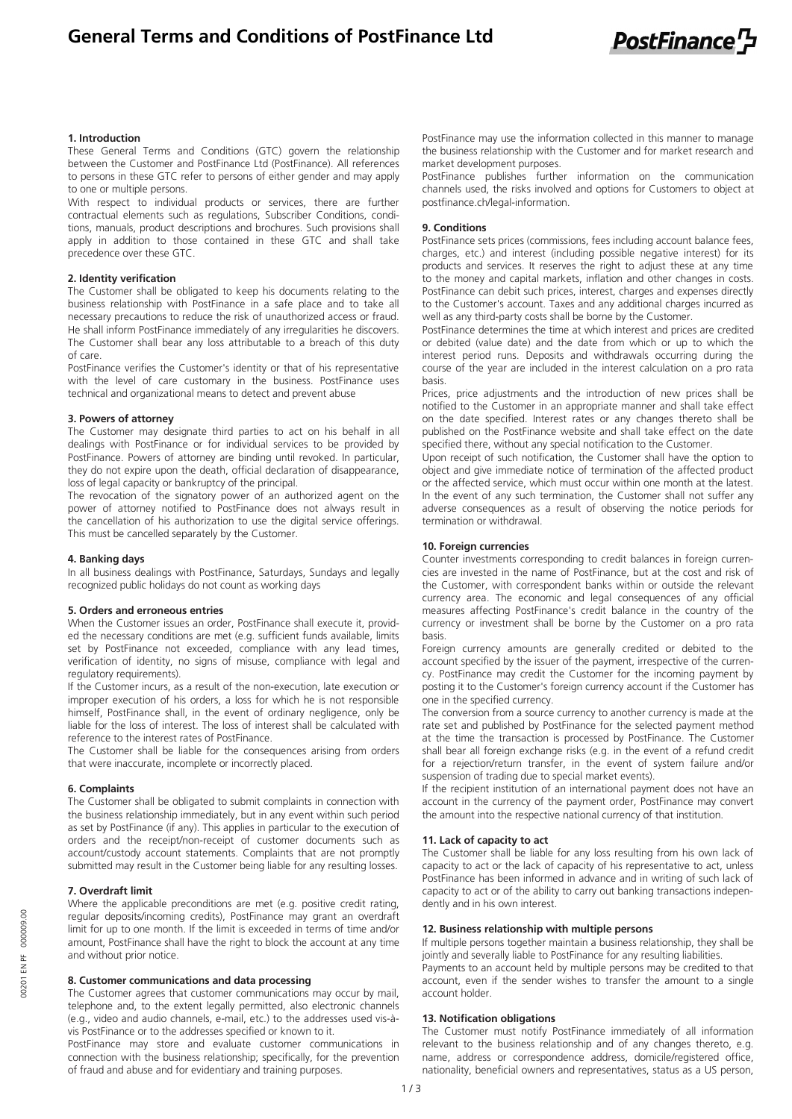**General Terms and Conditions of PostFinance Ltd**



## **1. Introduction**

These General Terms and Conditions (GTC) govern the relationship between the Customer and PostFinance Ltd (PostFinance). All references to persons in these GTC refer to persons of either gender and may apply to one or multiple persons.

With respect to individual products or services, there are further contractual elements such as regulations, Subscriber Conditions, conditions, manuals, product descriptions and brochures. Such provisions shall apply in addition to those contained in these GTC and shall take precedence over these GTC.

#### **2. Identity verification**

The Customer shall be obligated to keep his documents relating to the business relationship with PostFinance in a safe place and to take all necessary precautions to reduce the risk of unauthorized access or fraud. He shall inform PostFinance immediately of any irregularities he discovers. The Customer shall bear any loss attributable to a breach of this duty of care.

PostFinance verifies the Customer's identity or that of his representative with the level of care customary in the business. PostFinance uses technical and organizational means to detect and prevent abuse

#### **3. Powers of attorney**

The Customer may designate third parties to act on his behalf in all dealings with PostFinance or for individual services to be provided by PostFinance. Powers of attorney are binding until revoked. In particular, they do not expire upon the death, official declaration of disappearance, loss of legal capacity or bankruptcy of the principal.

The revocation of the signatory power of an authorized agent on the power of attorney notified to PostFinance does not always result in the cancellation of his authorization to use the digital service offerings. This must be cancelled separately by the Customer.

### **4. Banking days**

In all business dealings with PostFinance, Saturdays, Sundays and legally recognized public holidays do not count as working days

#### **5. Orders and erroneous entries**

When the Customer issues an order, PostFinance shall execute it, provided the necessary conditions are met (e.g. sufficient funds available, limits set by PostFinance not exceeded, compliance with any lead times, verification of identity, no signs of misuse, compliance with legal and regulatory requirements).

If the Customer incurs, as a result of the non-execution, late execution or improper execution of his orders, a loss for which he is not responsible himself, PostFinance shall, in the event of ordinary negligence, only be liable for the loss of interest. The loss of interest shall be calculated with reference to the interest rates of PostFinance.

The Customer shall be liable for the consequences arising from orders that were inaccurate, incomplete or incorrectly placed.

### **6. Complaints**

The Customer shall be obligated to submit complaints in connection with the business relationship immediately, but in any event within such period as set by PostFinance (if any). This applies in particular to the execution of orders and the receipt/non-receipt of customer documents such as account/custody account statements. Complaints that are not promptly submitted may result in the Customer being liable for any resulting losses.

### **7. Overdraft limit**

Where the applicable preconditions are met (e.g. positive credit rating, regular deposits/incoming credits), PostFinance may grant an overdraft limit for up to one month. If the limit is exceeded in terms of time and/or amount, PostFinance shall have the right to block the account at any time and without prior notice.

### **8. Customer communications and data processing**

The Customer agrees that customer communications may occur by mail, telephone and, to the extent legally permitted, also electronic channels (e.g., video and audio channels, e-mail, etc.) to the addresses used vis-àvis PostFinance or to the addresses specified or known to it.

PostFinance may store and evaluate customer communications in connection with the business relationship; specifically, for the prevention of fraud and abuse and for evidentiary and training purposes.

PostFinance may use the information collected in this manner to manage the business relationship with the Customer and for market research and market development purposes.

PostFinance publishes further information on the communication channels used, the risks involved and options for Customers to object at postfinance.ch/legal-information.

## **9. Conditions**

PostFinance sets prices (commissions, fees including account balance fees, charges, etc.) and interest (including possible negative interest) for its products and services. It reserves the right to adjust these at any time to the money and capital markets, inflation and other changes in costs. PostFinance can debit such prices, interest, charges and expenses directly to the Customer's account. Taxes and any additional charges incurred as well as any third-party costs shall be borne by the Customer.

PostFinance determines the time at which interest and prices are credited or debited (value date) and the date from which or up to which the interest period runs. Deposits and withdrawals occurring during the course of the year are included in the interest calculation on a pro rata basis.

Prices, price adjustments and the introduction of new prices shall be notified to the Customer in an appropriate manner and shall take effect on the date specified. Interest rates or any changes thereto shall be published on the PostFinance website and shall take effect on the date specified there, without any special notification to the Customer.

Upon receipt of such notification, the Customer shall have the option to object and give immediate notice of termination of the affected product or the affected service, which must occur within one month at the latest. In the event of any such termination, the Customer shall not suffer any adverse consequences as a result of observing the notice periods for termination or withdrawal.

### **10. Foreign currencies**

Counter investments corresponding to credit balances in foreign currencies are invested in the name of PostFinance, but at the cost and risk of the Customer, with correspondent banks within or outside the relevant currency area. The economic and legal consequences of any official measures affecting PostFinance's credit balance in the country of the currency or investment shall be borne by the Customer on a pro rata basis.

Foreign currency amounts are generally credited or debited to the account specified by the issuer of the payment, irrespective of the currency. PostFinance may credit the Customer for the incoming payment by posting it to the Customer's foreign currency account if the Customer has one in the specified currency.

The conversion from a source currency to another currency is made at the rate set and published by PostFinance for the selected payment method at the time the transaction is processed by PostFinance. The Customer shall bear all foreign exchange risks (e.g. in the event of a refund credit for a rejection/return transfer, in the event of system failure and/or suspension of trading due to special market events).

If the recipient institution of an international payment does not have an account in the currency of the payment order, PostFinance may convert the amount into the respective national currency of that institution.

### **11. Lack of capacity to act**

The Customer shall be liable for any loss resulting from his own lack of capacity to act or the lack of capacity of his representative to act, unless PostFinance has been informed in advance and in writing of such lack of capacity to act or of the ability to carry out banking transactions independently and in his own interest.

### **12. Business relationship with multiple persons**

If multiple persons together maintain a business relationship, they shall be jointly and severally liable to PostFinance for any resulting liabilities. Payments to an account held by multiple persons may be credited to that account, even if the sender wishes to transfer the amount to a single account holder.

### **13. Notification obligations**

The Customer must notify PostFinance immediately of all information relevant to the business relationship and of any changes thereto, e.g. name, address or correspondence address, domicile/registered office, nationality, beneficial owners and representatives, status as a US person,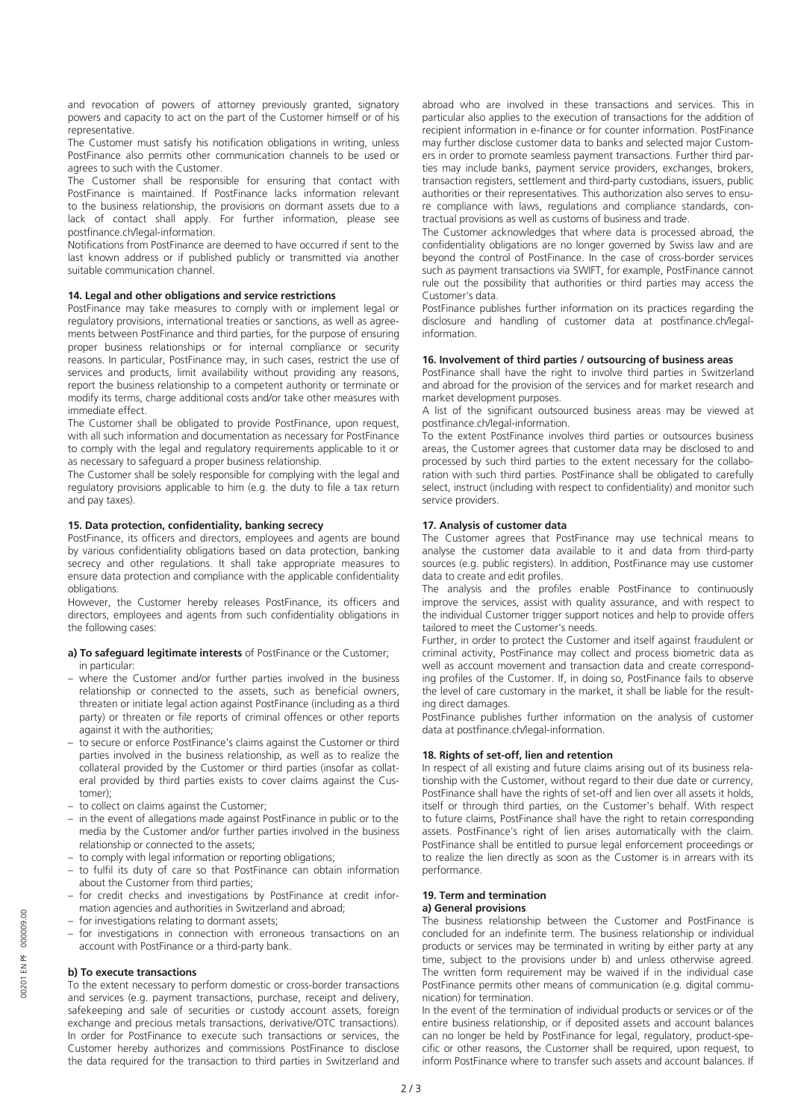and revocation of powers of attorney previously granted, signatory powers and capacity to act on the part of the Customer himself or of his representative.

The Customer must satisfy his notification obligations in writing, unless PostFinance also permits other communication channels to be used or agrees to such with the Customer.

The Customer shall be responsible for ensuring that contact with PostFinance is maintained. If PostFinance lacks information relevant to the business relationship, the provisions on dormant assets due to a lack of contact shall apply. For further information, please see postfinance.ch/legal-information.

Notifications from PostFinance are deemed to have occurred if sent to the last known address or if published publicly or transmitted via another suitable communication channel.

## **14. Legal and other obligations and service restrictions**

PostFinance may take measures to comply with or implement legal or regulatory provisions, international treaties or sanctions, as well as agreements between PostFinance and third parties, for the purpose of ensuring proper business relationships or for internal compliance or security reasons. In particular, PostFinance may, in such cases, restrict the use of services and products, limit availability without providing any reasons, report the business relationship to a competent authority or terminate or modify its terms, charge additional costs and/or take other measures with immediate effect.

The Customer shall be obligated to provide PostFinance, upon request, with all such information and documentation as necessary for PostFinance to comply with the legal and regulatory requirements applicable to it or as necessary to safeguard a proper business relationship.

The Customer shall be solely responsible for complying with the legal and regulatory provisions applicable to him (e.g. the duty to file a tax return and pay taxes).

### **15. Data protection, confidentiality, banking secrecy**

PostFinance, its officers and directors, employees and agents are bound by various confidentiality obligations based on data protection, banking secrecy and other regulations. It shall take appropriate measures to ensure data protection and compliance with the applicable confidentiality obligations.

However, the Customer hereby releases PostFinance, its officers and directors, employees and agents from such confidentiality obligations in the following cases:

### **a) To safeguard legitimate interests** of PostFinance or the Customer; in particular:

- where the Customer and/or further parties involved in the business relationship or connected to the assets, such as beneficial owners, threaten or initiate legal action against PostFinance (including as a third party) or threaten or file reports of criminal offences or other reports against it with the authorities;
- to secure or enforce PostFinance's claims against the Customer or third parties involved in the business relationship, as well as to realize the collateral provided by the Customer or third parties (insofar as collateral provided by third parties exists to cover claims against the Customer);
- to collect on claims against the Customer;
- in the event of allegations made against PostFinance in public or to the media by the Customer and/or further parties involved in the business relationship or connected to the assets;
- to comply with legal information or reporting obligations;
- to fulfil its duty of care so that PostFinance can obtain information about the Customer from third parties;
- for credit checks and investigations by PostFinance at credit information agencies and authorities in Switzerland and abroad;
- for investigations relating to dormant assets;
- for investigations in connection with erroneous transactions on an account with PostFinance or a third-party bank.

### **b) To execute transactions**

To the extent necessary to perform domestic or cross-border transactions and services (e.g. payment transactions, purchase, receipt and delivery, safekeeping and sale of securities or custody account assets, foreign exchange and precious metals transactions, derivative/OTC transactions). In order for PostFinance to execute such transactions or services, the Customer hereby authorizes and commissions PostFinance to disclose the data required for the transaction to third parties in Switzerland and

abroad who are involved in these transactions and services. This in particular also applies to the execution of transactions for the addition of recipient information in e-finance or for counter information. PostFinance may further disclose customer data to banks and selected major Customers in order to promote seamless payment transactions. Further third parties may include banks, payment service providers, exchanges, brokers, transaction registers, settlement and third-party custodians, issuers, public authorities or their representatives. This authorization also serves to ensure compliance with laws, regulations and compliance standards, contractual provisions as well as customs of business and trade.

The Customer acknowledges that where data is processed abroad, the confidentiality obligations are no longer governed by Swiss law and are beyond the control of PostFinance. In the case of cross-border services such as payment transactions via SWIFT, for example, PostFinance cannot rule out the possibility that authorities or third parties may access the Customer's data.

PostFinance publishes further information on its practices regarding the disclosure and handling of customer data at postfinance.ch/legalinformation.

## **16. Involvement of third parties / outsourcing of business areas**

PostFinance shall have the right to involve third parties in Switzerland and abroad for the provision of the services and for market research and market development purposes.

A list of the significant outsourced business areas may be viewed at postfinance.ch/legal-information.

To the extent PostFinance involves third parties or outsources business areas, the Customer agrees that customer data may be disclosed to and processed by such third parties to the extent necessary for the collaboration with such third parties. PostFinance shall be obligated to carefully select, instruct (including with respect to confidentiality) and monitor such service providers.

### **17. Analysis of customer data**

The Customer agrees that PostFinance may use technical means to analyse the customer data available to it and data from third-party sources (e.g. public registers). In addition, PostFinance may use customer data to create and edit profiles.

The analysis and the profiles enable PostFinance to continuously improve the services, assist with quality assurance, and with respect to the individual Customer trigger support notices and help to provide offers tailored to meet the Customer's needs.

Further, in order to protect the Customer and itself against fraudulent or criminal activity, PostFinance may collect and process biometric data as well as account movement and transaction data and create corresponding profiles of the Customer. If, in doing so, PostFinance fails to observe the level of care customary in the market, it shall be liable for the resulting direct damages.

PostFinance publishes further information on the analysis of customer data at postfinance.ch/legal-information.

## **18. Rights of set-off, lien and retention**

In respect of all existing and future claims arising out of its business relationship with the Customer, without regard to their due date or currency, PostFinance shall have the rights of set-off and lien over all assets it holds, itself or through third parties, on the Customer's behalf. With respect to future claims, PostFinance shall have the right to retain corresponding assets. PostFinance's right of lien arises automatically with the claim. PostFinance shall be entitled to pursue legal enforcement proceedings or to realize the lien directly as soon as the Customer is in arrears with its performance.

# **19. Term and termination**

## **a) General provisions**

The business relationship between the Customer and PostFinance is concluded for an indefinite term. The business relationship or individual products or services may be terminated in writing by either party at any time, subject to the provisions under b) and unless otherwise agreed. The written form requirement may be waived if in the individual case PostFinance permits other means of communication (e.g. digital communication) for termination.

In the event of the termination of individual products or services or of the entire business relationship, or if deposited assets and account balances can no longer be held by PostFinance for legal, regulatory, product-specific or other reasons, the Customer shall be required, upon request, to inform PostFinance where to transfer such assets and account balances. If